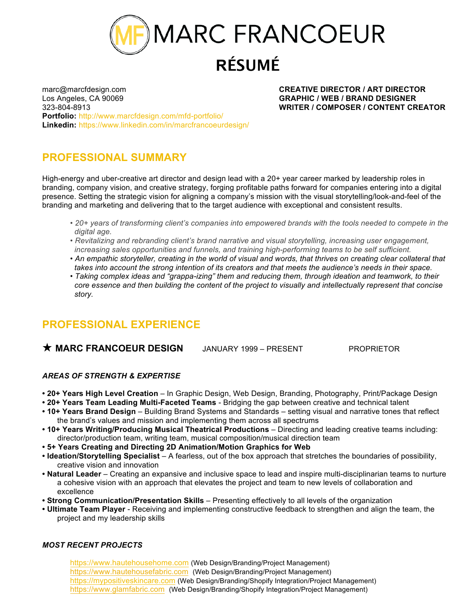MARC FRANCOEUR **RÉSUMÉ**

marc@marcfdesign.com **CREATIVE DIRECTOR / ART DIRECTOR** Los Angeles, CA 90069 **GRAPHIC / WEB / BRAND DESIGNER**  323-804-8913 **WRITER / COMPOSER / CONTENT CREATOR Portfolio:** http://www.marcfdesign.com/mfd-portfolio/ **Linkedin:** https://www.linkedin.com/in/marcfrancoeurdesign/

# **PROFESSIONAL SUMMARY**

High-energy and uber-creative art director and design lead with a 20+ year career marked by leadership roles in branding, company vision, and creative strategy, forging profitable paths forward for companies entering into a digital presence. Setting the strategic vision for aligning a company's mission with the visual storytelling/look-and-feel of the branding and marketing and delivering that to the target audience with exceptional and consistent results.

- *20+ years of transforming client's companies into empowered brands with the tools needed to compete in the digital age.*
- *Revitalizing and rebranding client's brand narrative and visual storytelling, increasing user engagement, increasing sales opportunities and funnels, and training high-performing teams to be self sufficient.*
- An empathic storyteller, creating in the world of visual and words, that thrives on creating clear collateral that  *takes into account the strong intention of its creators and that meets the audience's needs in their space.*
- *Taking complex ideas and "grappa-izing" them and reducing them, through ideation and teamwork, to their core essence and then building the content of the project to visually and intellectually represent that concise story.*

# **PROFESSIONAL EXPERIENCE**

### **★ MARC FRANCOEUR DESIGN** JANUARY 1999 – PRESENT PROPRIETOR

### *AREAS OF STRENGTH & EXPERTISE*

- **20+ Years High Level Creation** In Graphic Design, Web Design, Branding, Photography, Print/Package Design
- **20+ Years Team Leading Multi-Faceted Teams**  Bridging the gap between creative and technical talent
- **10+ Years Brand Design** Building Brand Systems and Standards setting visual and narrative tones that reflect the brand's values and mission and implementing them across all spectrums
- **10+ Years Writing/Producing Musical Theatrical Productions** Directing and leading creative teams including: director/production team, writing team, musical composition/musical direction team
- **• 5+ Years Creating and Directing 2D Animation/Motion Graphics for Web**
- **Ideation/Storytelling Specialist** A fearless, out of the box approach that stretches the boundaries of possibility, creative vision and innovation
- **Natural Leader** Creating an expansive and inclusive space to lead and inspire multi-disciplinarian teams to nurture a cohesive vision with an approach that elevates the project and team to new levels of collaboration and excellence
- **Strong Communication/Presentation Skills** Presenting effectively to all levels of the organization
- **• Ultimate Team Player**  Receiving and implementing constructive feedback to strengthen and align the team, the project and my leadership skills

#### *MOST RECENT PROJECTS*

https://www.hautehousehome.com (Web Design/Branding/Project Management) https://www.hautehousefabric.com (Web Design/Branding/Project Management) https://mypositiveskincare.com (Web Design/Branding/Shopify Integration/Project Management) https://www.glamfabric.com (Web Design/Branding/Shopify Integration/Project Management)